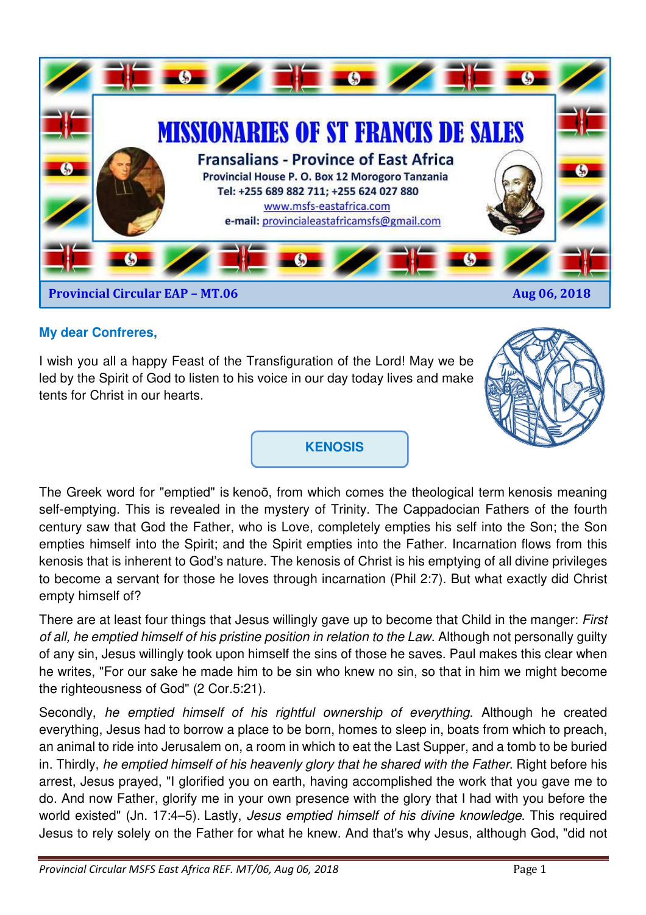

## **My dear Confreres,**

I wish you all a happy Feast of the Transfiguration of the Lord! May we be led by the Spirit of God to listen to his voice in our day today lives and make tents for Christ in our hearts.



### **KENOSIS**

The Greek word for "emptied" is kenoō, from which comes the theological term kenosis meaning self-emptying. This is revealed in the mystery of Trinity. The Cappadocian Fathers of the fourth century saw that God the Father, who is Love, completely empties his self into the Son; the Son empties himself into the Spirit; and the Spirit empties into the Father. Incarnation flows from this kenosis that is inherent to God's nature. The kenosis of Christ is his emptying of all divine privileges to become a servant for those he loves through incarnation (Phil 2:7). But what exactly did Christ empty himself of?

There are at least four things that Jesus willingly gave up to become that Child in the manger: First of all, he emptied himself of his pristine position in relation to the Law. Although not personally guilty of any sin, Jesus willingly took upon himself the sins of those he saves. Paul makes this clear when he writes, "For our sake he made him to be sin who knew no sin, so that in him we might become the righteousness of God" (2 Cor.5:21).

Secondly, he emptied himself of his rightful ownership of everything. Although he created everything, Jesus had to borrow a place to be born, homes to sleep in, boats from which to preach, an animal to ride into Jerusalem on, a room in which to eat the Last Supper, and a tomb to be buried in. Thirdly, he emptied himself of his heavenly glory that he shared with the Father. Right before his arrest, Jesus prayed, "I glorified you on earth, having accomplished the work that you gave me to do. And now Father, glorify me in your own presence with the glory that I had with you before the world existed" (Jn. 17:4–5). Lastly, *Jesus emptied himself of his divine knowledge*. This required Jesus to rely solely on the Father for what he knew. And that's why Jesus, although God, "did not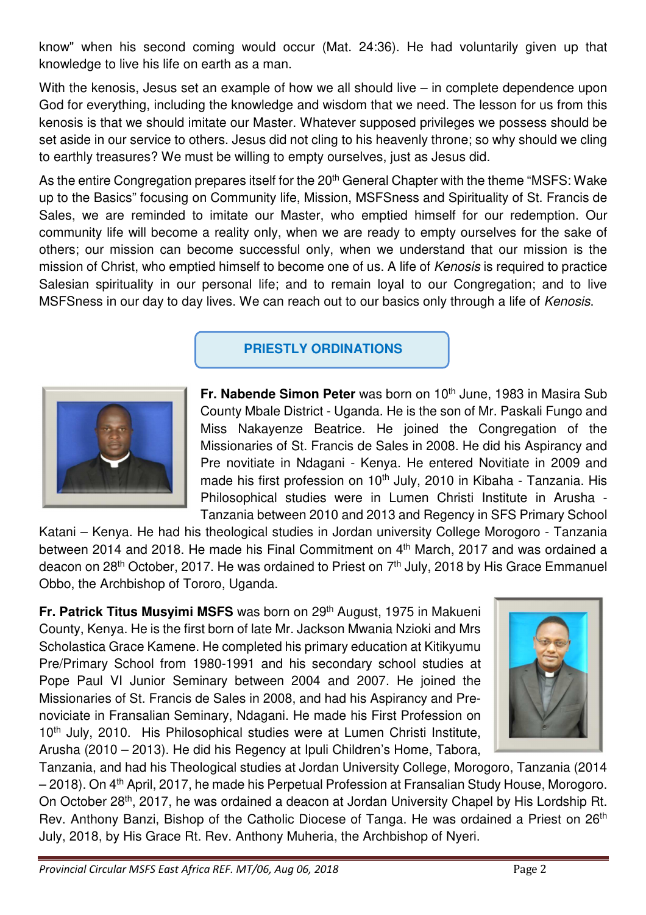know" when his second coming would occur (Mat. 24:36). He had voluntarily given up that knowledge to live his life on earth as a man.

With the kenosis, Jesus set an example of how we all should live – in complete dependence upon God for everything, including the knowledge and wisdom that we need. The lesson for us from this kenosis is that we should imitate our Master. Whatever supposed privileges we possess should be set aside in our service to others. Jesus did not cling to his heavenly throne; so why should we cling to earthly treasures? We must be willing to empty ourselves, just as Jesus did.

As the entire Congregation prepares itself for the 20<sup>th</sup> General Chapter with the theme "MSFS: Wake up to the Basics" focusing on Community life, Mission, MSFSness and Spirituality of St. Francis de Sales, we are reminded to imitate our Master, who emptied himself for our redemption. Our community life will become a reality only, when we are ready to empty ourselves for the sake of others; our mission can become successful only, when we understand that our mission is the mission of Christ, who emptied himself to become one of us. A life of Kenosis is required to practice Salesian spirituality in our personal life; and to remain loyal to our Congregation; and to live MSFSness in our day to day lives. We can reach out to our basics only through a life of Kenosis.

## **PRIESTLY ORDINATIONS**



**Fr. Nabende Simon Peter** was born on 10<sup>th</sup> June, 1983 in Masira Sub County Mbale District - Uganda. He is the son of Mr. Paskali Fungo and Miss Nakayenze Beatrice. He joined the Congregation of the Missionaries of St. Francis de Sales in 2008. He did his Aspirancy and Pre novitiate in Ndagani - Kenya. He entered Novitiate in 2009 and made his first profession on 10<sup>th</sup> July, 2010 in Kibaha - Tanzania. His Philosophical studies were in Lumen Christi Institute in Arusha - Tanzania between 2010 and 2013 and Regency in SFS Primary School

Katani – Kenya. He had his theological studies in Jordan university College Morogoro - Tanzania between 2014 and 2018. He made his Final Commitment on 4<sup>th</sup> March, 2017 and was ordained a deacon on 28<sup>th</sup> October, 2017. He was ordained to Priest on  $7<sup>th</sup>$  July, 2018 by His Grace Emmanuel Obbo, the Archbishop of Tororo, Uganda.

**Fr. Patrick Titus Musyimi MSFS** was born on 29<sup>th</sup> August, 1975 in Makueni County, Kenya. He is the first born of late Mr. Jackson Mwania Nzioki and Mrs Scholastica Grace Kamene. He completed his primary education at Kitikyumu Pre/Primary School from 1980-1991 and his secondary school studies at Pope Paul VI Junior Seminary between 2004 and 2007. He joined the Missionaries of St. Francis de Sales in 2008, and had his Aspirancy and Prenoviciate in Fransalian Seminary, Ndagani. He made his First Profession on 10<sup>th</sup> July, 2010. His Philosophical studies were at Lumen Christi Institute, Arusha (2010 – 2013). He did his Regency at Ipuli Children's Home, Tabora,



Tanzania, and had his Theological studies at Jordan University College, Morogoro, Tanzania (2014 – 2018). On 4th April, 2017, he made his Perpetual Profession at Fransalian Study House, Morogoro. On October 28th, 2017, he was ordained a deacon at Jordan University Chapel by His Lordship Rt. Rev. Anthony Banzi, Bishop of the Catholic Diocese of Tanga. He was ordained a Priest on 26th July, 2018, by His Grace Rt. Rev. Anthony Muheria, the Archbishop of Nyeri.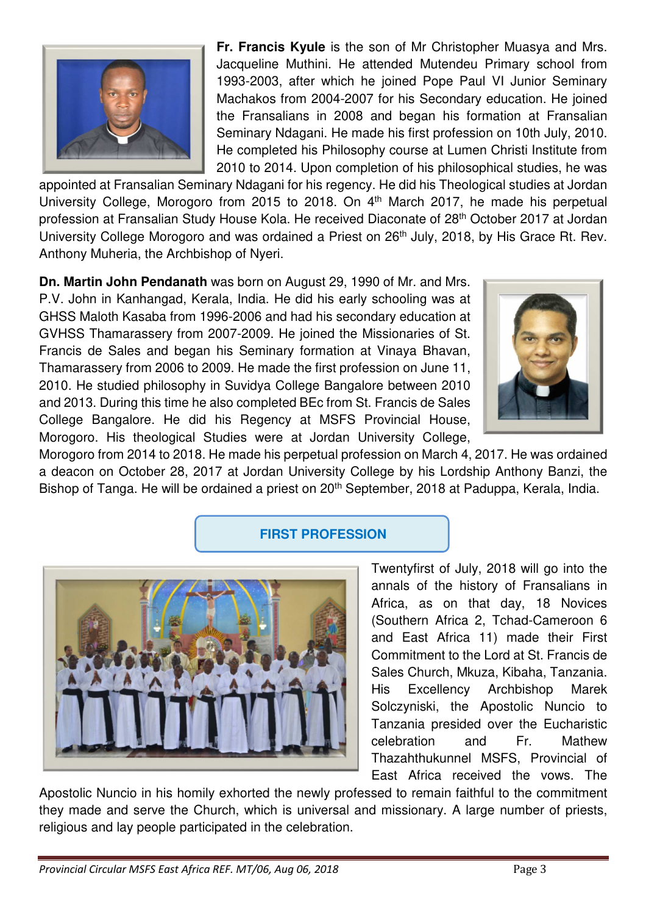

**Fr. Francis Kyule** is the son of Mr Christopher Muasya and Mrs. Jacqueline Muthini. He attended Mutendeu Primary school from 1993-2003, after which he joined Pope Paul VI Junior Seminary Machakos from 2004-2007 for his Secondary education. He joined the Fransalians in 2008 and began his formation at Fransalian Seminary Ndagani. He made his first profession on 10th July, 2010. He completed his Philosophy course at Lumen Christi Institute from 2010 to 2014. Upon completion of his philosophical studies, he was

appointed at Fransalian Seminary Ndagani for his regency. He did his Theological studies at Jordan University College, Morogoro from 2015 to 2018. On 4<sup>th</sup> March 2017, he made his perpetual profession at Fransalian Study House Kola. He received Diaconate of 28th October 2017 at Jordan University College Morogoro and was ordained a Priest on 26<sup>th</sup> July, 2018, by His Grace Rt. Rev. Anthony Muheria, the Archbishop of Nyeri.

**Dn. Martin John Pendanath** was born on August 29, 1990 of Mr. and Mrs. P.V. John in Kanhangad, Kerala, India. He did his early schooling was at GHSS Maloth Kasaba from 1996-2006 and had his secondary education at GVHSS Thamarassery from 2007-2009. He joined the Missionaries of St. Francis de Sales and began his Seminary formation at Vinaya Bhavan, Thamarassery from 2006 to 2009. He made the first profession on June 11, 2010. He studied philosophy in Suvidya College Bangalore between 2010 and 2013. During this time he also completed BEc from St. Francis de Sales College Bangalore. He did his Regency at MSFS Provincial House, Morogoro. His theological Studies were at Jordan University College,



Morogoro from 2014 to 2018. He made his perpetual profession on March 4, 2017. He was ordained a deacon on October 28, 2017 at Jordan University College by his Lordship Anthony Banzi, the Bishop of Tanga. He will be ordained a priest on 20<sup>th</sup> September, 2018 at Paduppa, Kerala, India.

### **FIRST PROFESSION**



Twentyfirst of July, 2018 will go into the annals of the history of Fransalians in Africa, as on that day, 18 Novices (Southern Africa 2, Tchad-Cameroon 6 and East Africa 11) made their First Commitment to the Lord at St. Francis de Sales Church, Mkuza, Kibaha, Tanzania. His Excellency Archbishop Marek Solczyniski, the Apostolic Nuncio to Tanzania presided over the Eucharistic celebration and Fr. Mathew Thazahthukunnel MSFS, Provincial of East Africa received the vows. The

Apostolic Nuncio in his homily exhorted the newly professed to remain faithful to the commitment they made and serve the Church, which is universal and missionary. A large number of priests, religious and lay people participated in the celebration.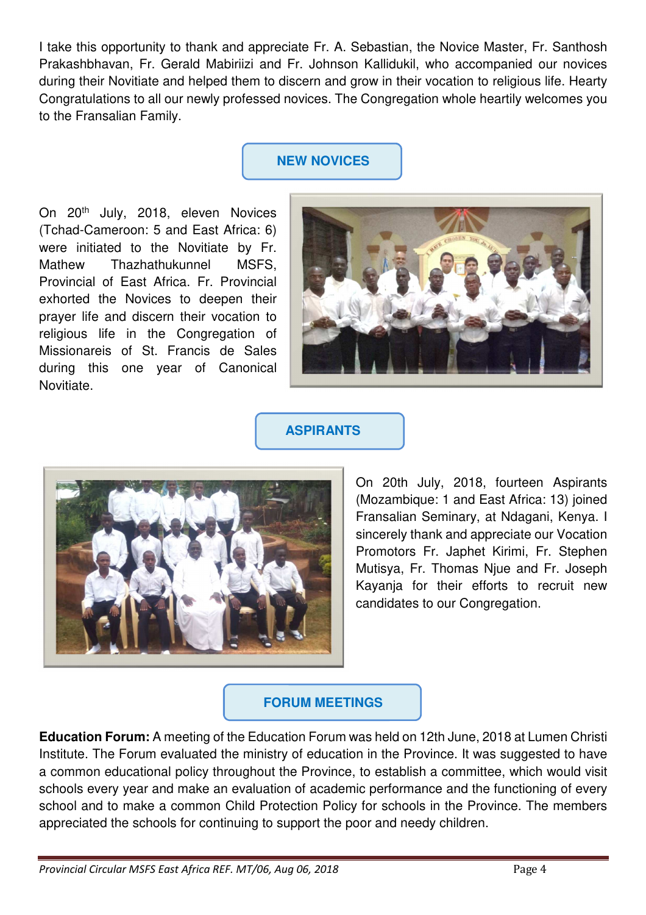I take this opportunity to thank and appreciate Fr. A. Sebastian, the Novice Master, Fr. Santhosh Prakashbhavan, Fr. Gerald Mabiriizi and Fr. Johnson Kallidukil, who accompanied our novices during their Novitiate and helped them to discern and grow in their vocation to religious life. Hearty Congratulations to all our newly professed novices. The Congregation whole heartily welcomes you to the Fransalian Family.

# **NEW NOVICES**

On 20th July, 2018, eleven Novices (Tchad-Cameroon: 5 and East Africa: 6) were initiated to the Novitiate by Fr. Mathew Thazhathukunnel MSFS, Provincial of East Africa. Fr. Provincial exhorted the Novices to deepen their prayer life and discern their vocation to religious life in the Congregation of Missionareis of St. Francis de Sales during this one year of Canonical Novitiate.



## **ASPIRANTS**



On 20th July, 2018, fourteen Aspirants (Mozambique: 1 and East Africa: 13) joined Fransalian Seminary, at Ndagani, Kenya. I sincerely thank and appreciate our Vocation Promotors Fr. Japhet Kirimi, Fr. Stephen Mutisya, Fr. Thomas Njue and Fr. Joseph Kayanja for their efforts to recruit new candidates to our Congregation.

## **FORUM MEETINGS**

**Education Forum:** A meeting of the Education Forum was held on 12th June, 2018 at Lumen Christi Institute. The Forum evaluated the ministry of education in the Province. It was suggested to have a common educational policy throughout the Province, to establish a committee, which would visit schools every year and make an evaluation of academic performance and the functioning of every school and to make a common Child Protection Policy for schools in the Province. The members appreciated the schools for continuing to support the poor and needy children.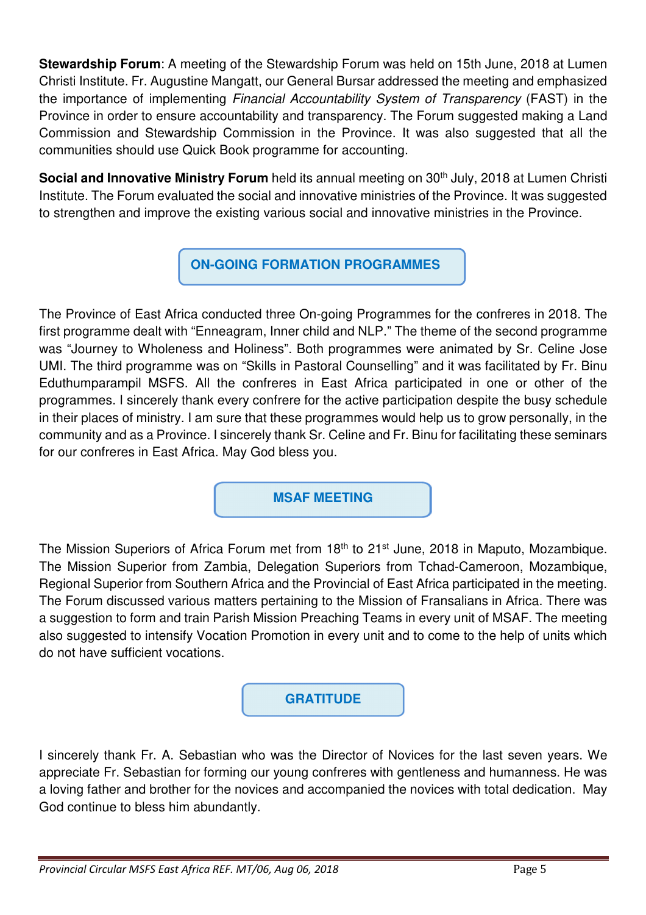**Stewardship Forum**: A meeting of the Stewardship Forum was held on 15th June, 2018 at Lumen Christi Institute. Fr. Augustine Mangatt, our General Bursar addressed the meeting and emphasized the importance of implementing Financial Accountability System of Transparency (FAST) in the Province in order to ensure accountability and transparency. The Forum suggested making a Land Commission and Stewardship Commission in the Province. It was also suggested that all the communities should use Quick Book programme for accounting.

**Social and Innovative Ministry Forum** held its annual meeting on 30<sup>th</sup> July, 2018 at Lumen Christi Institute. The Forum evaluated the social and innovative ministries of the Province. It was suggested to strengthen and improve the existing various social and innovative ministries in the Province.

**ON-GOING FORMATION PROGRAMMES**

The Province of East Africa conducted three On-going Programmes for the confreres in 2018. The first programme dealt with "Enneagram, Inner child and NLP." The theme of the second programme was "Journey to Wholeness and Holiness". Both programmes were animated by Sr. Celine Jose UMI. The third programme was on "Skills in Pastoral Counselling" and it was facilitated by Fr. Binu Eduthumparampil MSFS. All the confreres in East Africa participated in one or other of the programmes. I sincerely thank every confrere for the active participation despite the busy schedule in their places of ministry. I am sure that these programmes would help us to grow personally, in the community and as a Province. I sincerely thank Sr. Celine and Fr. Binu for facilitating these seminars for our confreres in East Africa. May God bless you.

**MSAF MEETING**

The Mission Superiors of Africa Forum met from 18<sup>th</sup> to 21<sup>st</sup> June, 2018 in Maputo, Mozambique. The Mission Superior from Zambia, Delegation Superiors from Tchad-Cameroon, Mozambique, Regional Superior from Southern Africa and the Provincial of East Africa participated in the meeting. The Forum discussed various matters pertaining to the Mission of Fransalians in Africa. There was a suggestion to form and train Parish Mission Preaching Teams in every unit of MSAF. The meeting also suggested to intensify Vocation Promotion in every unit and to come to the help of units which do not have sufficient vocations.

# **GRATITUDE**

I sincerely thank Fr. A. Sebastian who was the Director of Novices for the last seven years. We appreciate Fr. Sebastian for forming our young confreres with gentleness and humanness. He was a loving father and brother for the novices and accompanied the novices with total dedication. May God continue to bless him abundantly.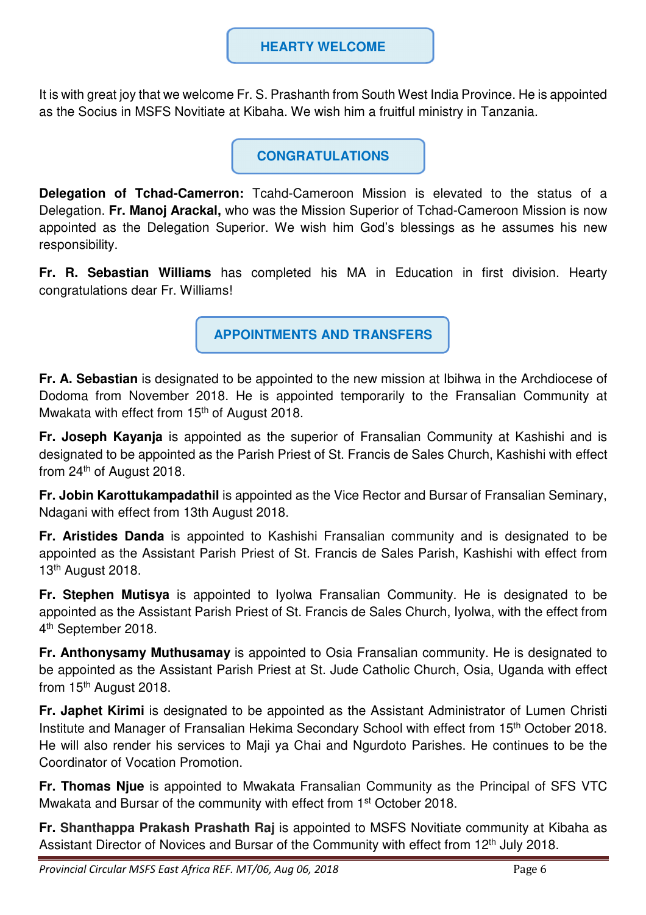### **HEARTY WELCOME**

It is with great joy that we welcome Fr. S. Prashanth from South West India Province. He is appointed as the Socius in MSFS Novitiate at Kibaha. We wish him a fruitful ministry in Tanzania.

**CONGRATULATIONS** 

**Delegation of Tchad-Camerron:** Tcahd-Cameroon Mission is elevated to the status of a Delegation. **Fr. Manoj Arackal,** who was the Mission Superior of Tchad-Cameroon Mission is now appointed as the Delegation Superior. We wish him God's blessings as he assumes his new responsibility.

**Fr. R. Sebastian Williams** has completed his MA in Education in first division. Hearty congratulations dear Fr. Williams!

**APPOINTMENTS AND TRANSFERS** 

**Fr. A. Sebastian** is designated to be appointed to the new mission at Ibihwa in the Archdiocese of Dodoma from November 2018. He is appointed temporarily to the Fransalian Community at Mwakata with effect from 15<sup>th</sup> of August 2018.

**Fr. Joseph Kayanja** is appointed as the superior of Fransalian Community at Kashishi and is designated to be appointed as the Parish Priest of St. Francis de Sales Church, Kashishi with effect from 24th of August 2018.

**Fr. Jobin Karottukampadathil** is appointed as the Vice Rector and Bursar of Fransalian Seminary, Ndagani with effect from 13th August 2018.

**Fr. Aristides Danda** is appointed to Kashishi Fransalian community and is designated to be appointed as the Assistant Parish Priest of St. Francis de Sales Parish, Kashishi with effect from 13<sup>th</sup> August 2018.

**Fr. Stephen Mutisya** is appointed to Iyolwa Fransalian Community. He is designated to be appointed as the Assistant Parish Priest of St. Francis de Sales Church, Iyolwa, with the effect from 4<sup>th</sup> September 2018.

**Fr. Anthonysamy Muthusamay** is appointed to Osia Fransalian community. He is designated to be appointed as the Assistant Parish Priest at St. Jude Catholic Church, Osia, Uganda with effect from 15<sup>th</sup> August 2018.

**Fr. Japhet Kirimi** is designated to be appointed as the Assistant Administrator of Lumen Christi Institute and Manager of Fransalian Hekima Secondary School with effect from 15th October 2018. He will also render his services to Maji ya Chai and Ngurdoto Parishes. He continues to be the Coordinator of Vocation Promotion.

**Fr. Thomas Njue** is appointed to Mwakata Fransalian Community as the Principal of SFS VTC Mwakata and Bursar of the community with effect from 1<sup>st</sup> October 2018.

**Fr. Shanthappa Prakash Prashath Raj** is appointed to MSFS Novitiate community at Kibaha as Assistant Director of Novices and Bursar of the Community with effect from 12<sup>th</sup> July 2018.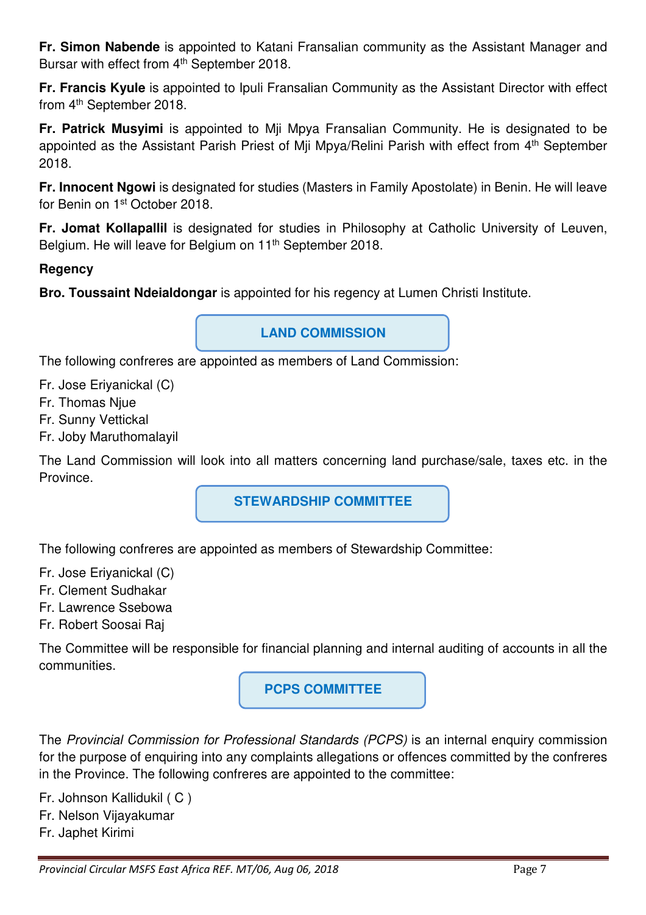**Fr. Simon Nabende** is appointed to Katani Fransalian community as the Assistant Manager and Bursar with effect from 4<sup>th</sup> September 2018.

**Fr. Francis Kyule** is appointed to Ipuli Fransalian Community as the Assistant Director with effect from 4th September 2018.

**Fr. Patrick Musyimi** is appointed to Mji Mpya Fransalian Community. He is designated to be appointed as the Assistant Parish Priest of Miji Mpya/Relini Parish with effect from 4<sup>th</sup> September 2018.

**Fr. Innocent Ngowi** is designated for studies (Masters in Family Apostolate) in Benin. He will leave for Benin on 1st October 2018.

**Fr. Jomat Kollapallil** is designated for studies in Philosophy at Catholic University of Leuven, Belgium. He will leave for Belgium on 11th September 2018.

### **Regency**

**Bro. Toussaint Ndeialdongar** is appointed for his regency at Lumen Christi Institute.

**LAND COMMISSION** 

The following confreres are appointed as members of Land Commission:

- Fr. Jose Eriyanickal (C)
- Fr. Thomas Njue
- Fr. Sunny Vettickal
- Fr. Joby Maruthomalayil

The Land Commission will look into all matters concerning land purchase/sale, taxes etc. in the Province.

**STEWARDSHIP COMMITTEE** 

The following confreres are appointed as members of Stewardship Committee:

- Fr. Jose Eriyanickal (C)
- Fr. Clement Sudhakar
- Fr. Lawrence Ssebowa
- Fr. Robert Soosai Raj

The Committee will be responsible for financial planning and internal auditing of accounts in all the communities.

**PCPS COMMITTEE**

The Provincial Commission for Professional Standards (PCPS) is an internal enquiry commission for the purpose of enquiring into any complaints allegations or offences committed by the confreres in the Province. The following confreres are appointed to the committee:

Fr. Johnson Kallidukil ( C ) Fr. Nelson Vijayakumar Fr. Japhet Kirimi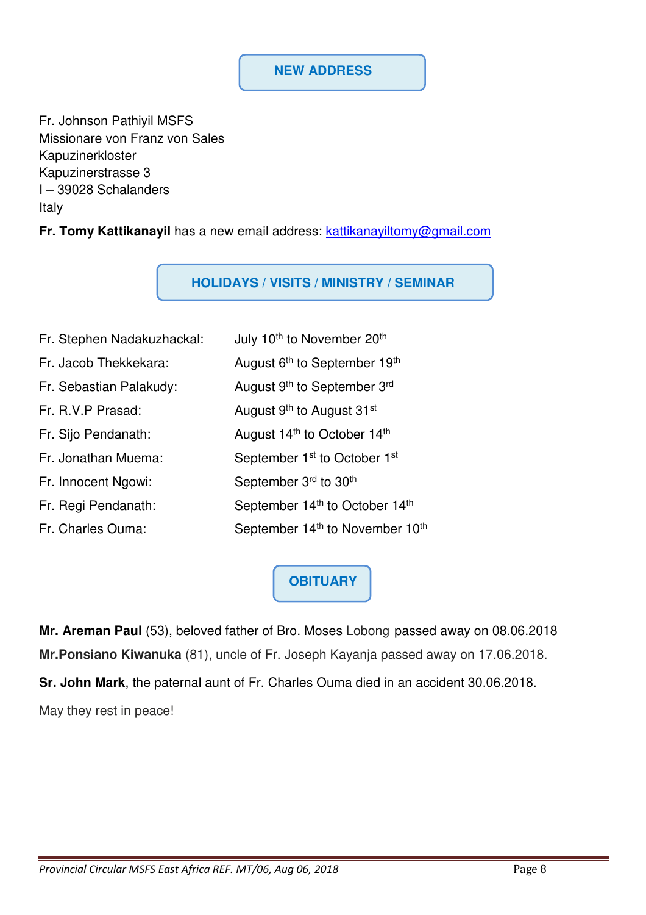#### **NEW ADDRESS**

Fr. Johnson Pathiyil MSFS Missionare von Franz von Sales Kapuzinerkloster Kapuzinerstrasse 3 I – 39028 Schalanders Italy

**Fr. Tomy Kattikanayil** has a new email address: kattikanayiltomy@gmail.com

**HOLIDAYS / VISITS / MINISTRY / SEMINAR**

| Fr. Stephen Nadakuzhackal: | July 10 <sup>th</sup> to November 20 <sup>th</sup>      |
|----------------------------|---------------------------------------------------------|
| Fr. Jacob Thekkekara:      | August 6 <sup>th</sup> to September 19 <sup>th</sup>    |
| Fr. Sebastian Palakudy:    | August 9th to September 3rd                             |
| Fr. R.V.P Prasad:          | August 9 <sup>th</sup> to August 31 <sup>st</sup>       |
| Fr. Sijo Pendanath:        | August 14 <sup>th</sup> to October 14 <sup>th</sup>     |
| Fr. Jonathan Muema:        | September 1 <sup>st</sup> to October 1 <sup>st</sup>    |
| Fr. Innocent Ngowi:        | September 3 <sup>rd</sup> to 30 <sup>th</sup>           |
| Fr. Regi Pendanath:        | September 14th to October 14th                          |
| Fr. Charles Ouma:          | September 14 <sup>th</sup> to November 10 <sup>th</sup> |

# **OBITUARY**

**Mr. Areman Paul** (53), beloved father of Bro. Moses Lobong passed away on 08.06.2018 **Mr.Ponsiano Kiwanuka** (81), uncle of Fr. Joseph Kayanja passed away on 17.06.2018. **Sr. John Mark**, the paternal aunt of Fr. Charles Ouma died in an accident 30.06.2018. May they rest in peace!